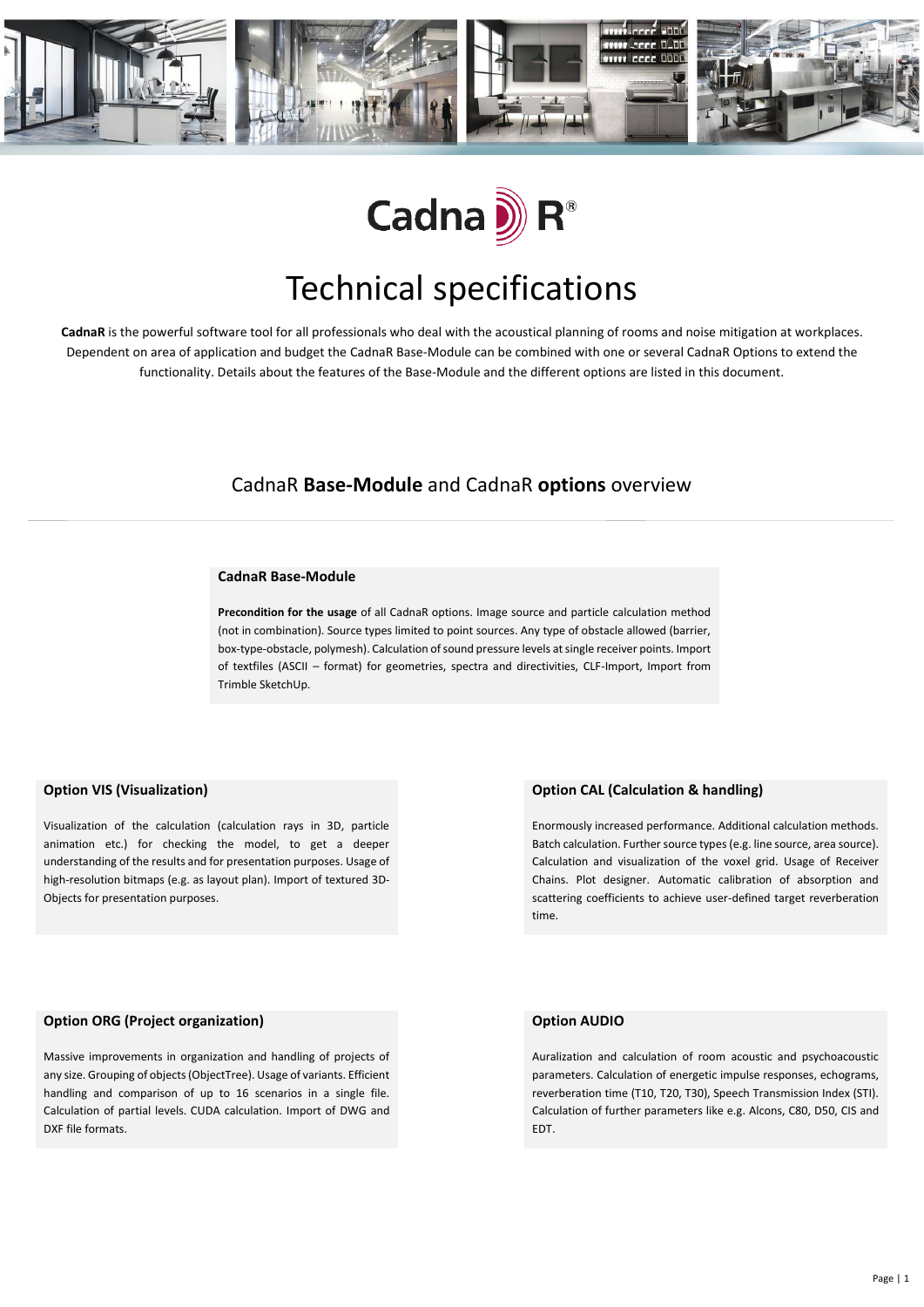



# Technical specifications

**CadnaR** is the powerful software tool for all professionals who deal with the acoustical planning of rooms and noise mitigation at workplaces. Dependent on area of application and budget the CadnaR Base-Module can be combined with one or several CadnaR Options to extend the functionality. Details about the features of the Base-Module and the different options are listed in this document.

### CadnaR **Base-Module** and CadnaR **options** overview

#### **CadnaR Base-Module**

**Precondition for the usage** of all CadnaR options. Image source and particle calculation method (not in combination). Source types limited to point sources. Any type of obstacle allowed (barrier, box-type-obstacle, polymesh). Calculation of sound pressure levels at single receiver points. Import of textfiles (ASCII – format) for geometries, spectra and directivities, CLF-Import, Import from Trimble SketchUp.

#### **Option VIS (Visualization)**

Visualization of the calculation (calculation rays in 3D, particle animation etc.) for checking the model, to get a deeper understanding of the results and for presentation purposes. Usage of high-resolution bitmaps (e.g. as layout plan). Import of textured 3D-Objects for presentation purposes.

#### **Option CAL (Calculation & handling)**

Enormously increased performance. Additional calculation methods. Batch calculation. Further source types (e.g. line source, area source). Calculation and visualization of the voxel grid. Usage of Receiver Chains. Plot designer. Automatic calibration of absorption and scattering coefficients to achieve user-defined target reverberation time.

#### **Option ORG (Project organization)**

Massive improvements in organization and handling of projects of any size. Grouping of objects (ObjectTree). Usage of variants. Efficient handling and comparison of up to 16 scenarios in a single file. Calculation of partial levels. CUDA calculation. Import of DWG and DXF file formats.

#### **Option AUDIO**

Auralization and calculation of room acoustic and psychoacoustic parameters. Calculation of energetic impulse responses, echograms, reverberation time (T10, T20, T30), Speech Transmission Index (STI). Calculation of further parameters like e.g. Alcons, C80, D50, CIS and EDT.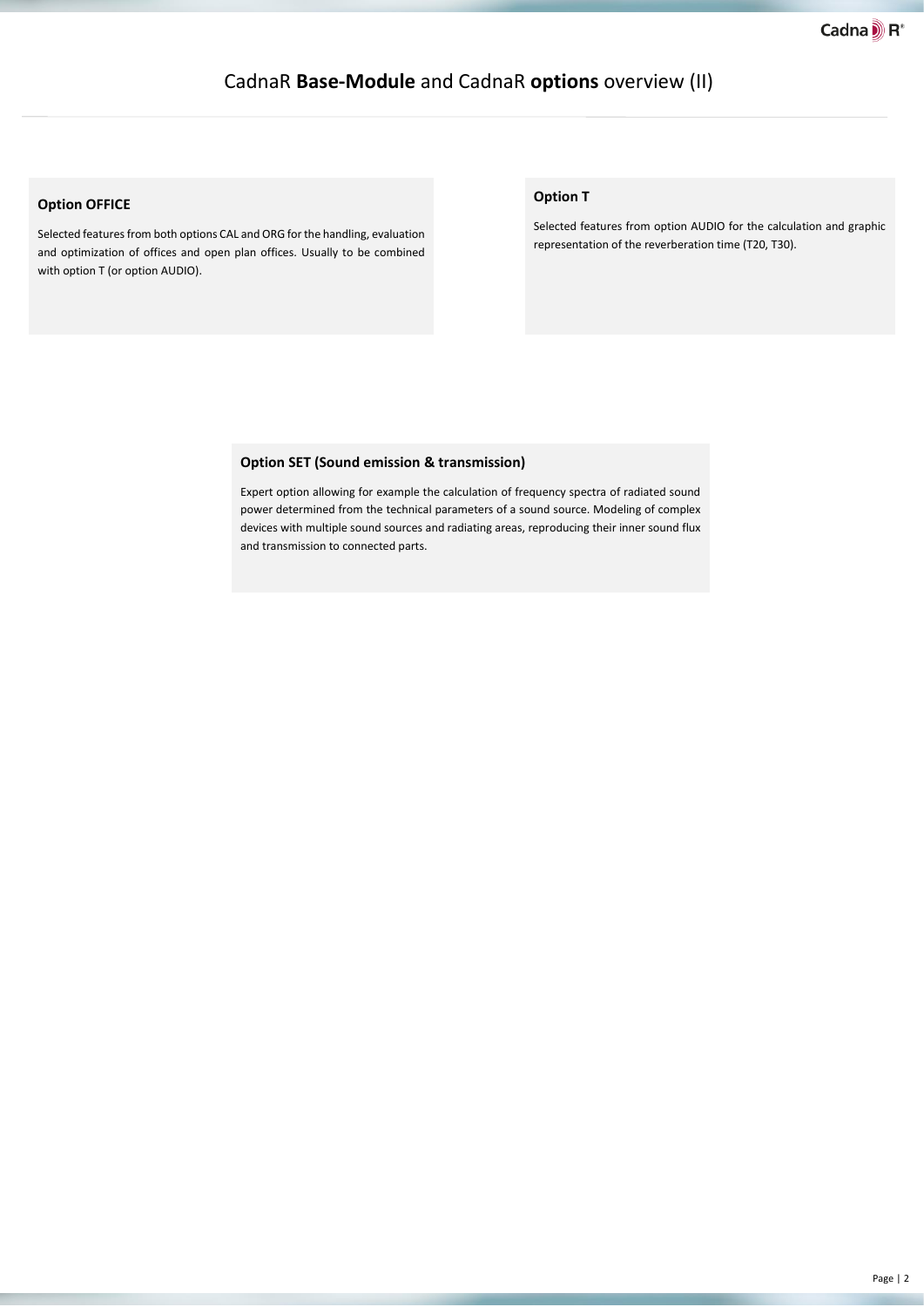### CadnaR **Base-Module** and CadnaR **options** overview (II)

#### **Option OFFICE**

Selected features from both options CAL and ORG for the handling, evaluation and optimization of offices and open plan offices. Usually to be combined with option T (or option AUDIO).

#### **Option T**

Selected features from option AUDIO for the calculation and graphic representation of the reverberation time (T20, T30).

#### **Option SET (Sound emission & transmission)**

Expert option allowing for example the calculation of frequency spectra of radiated sound power determined from the technical parameters of a sound source. Modeling of complex devices with multiple sound sources and radiating areas, reproducing their inner sound flux and transmission to connected parts.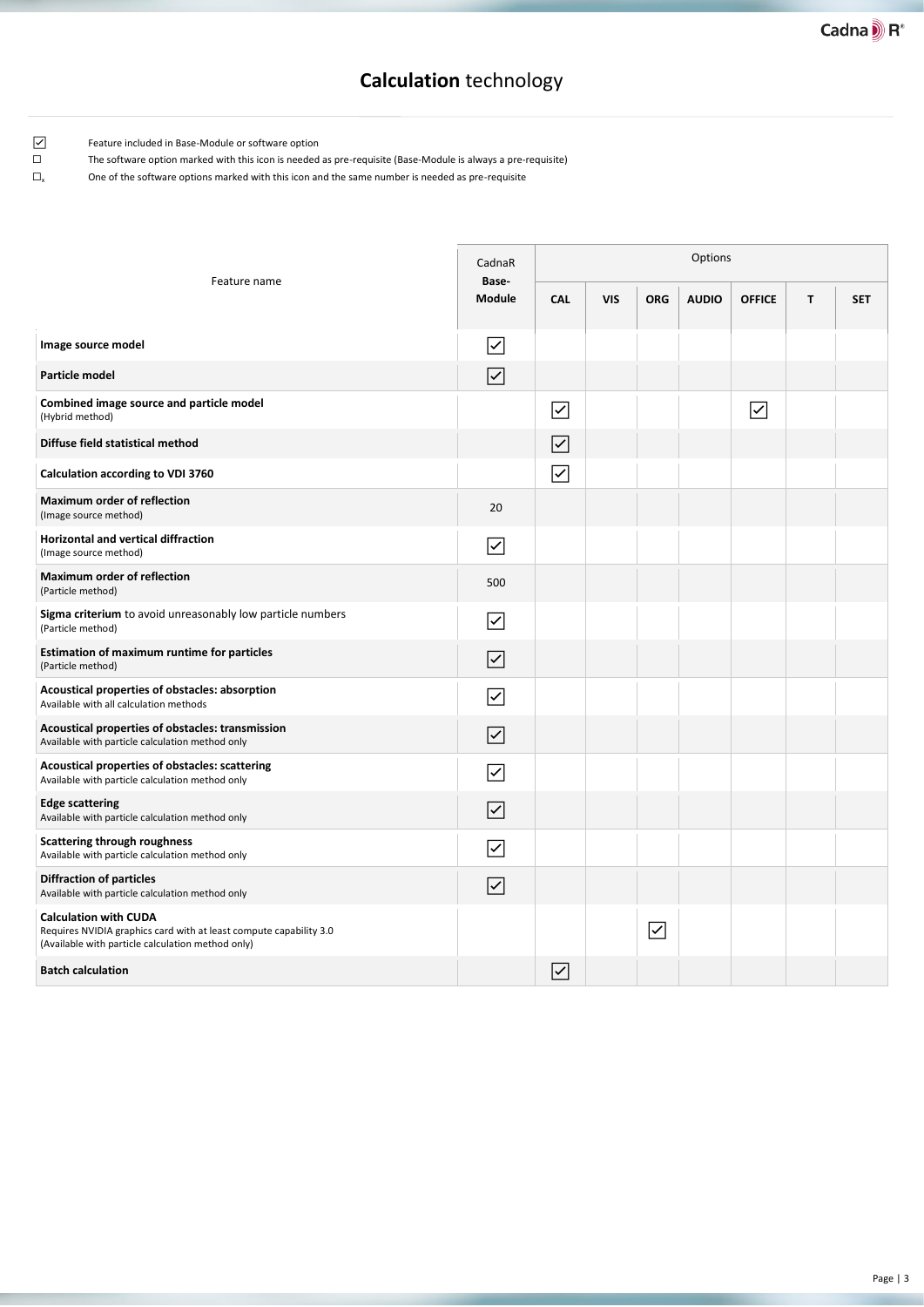# **Calculation** technology

☑ Feature included in Base-Module or software option

☐ The software option marked with this icon is needed as pre-requisite (Base-Module is always a pre-requisite)

| Feature name                                                                                                                                            | CadnaR<br>Base-                     | Options                 |            |                     |              |                                     |   |            |  |  |
|---------------------------------------------------------------------------------------------------------------------------------------------------------|-------------------------------------|-------------------------|------------|---------------------|--------------|-------------------------------------|---|------------|--|--|
|                                                                                                                                                         | <b>Module</b>                       | <b>CAL</b>              | <b>VIS</b> | <b>ORG</b>          | <b>AUDIO</b> | <b>OFFICE</b>                       | T | <b>SFT</b> |  |  |
| Image source model                                                                                                                                      | $\overline{\textbf{Y}}$             |                         |            |                     |              |                                     |   |            |  |  |
| Particle model                                                                                                                                          | $\overline{\checkmark}$             |                         |            |                     |              |                                     |   |            |  |  |
| Combined image source and particle model<br>(Hybrid method)                                                                                             |                                     | $\overline{\smile}$     |            |                     |              | $\overline{\smash{\triangleright}}$ |   |            |  |  |
| Diffuse field statistical method                                                                                                                        |                                     | $\overline{\checkmark}$ |            |                     |              |                                     |   |            |  |  |
| Calculation according to VDI 3760                                                                                                                       |                                     | $\overline{\checkmark}$ |            |                     |              |                                     |   |            |  |  |
| <b>Maximum order of reflection</b><br>(Image source method)                                                                                             | 20                                  |                         |            |                     |              |                                     |   |            |  |  |
| <b>Horizontal and vertical diffraction</b><br>(Image source method)                                                                                     | $\overline{\blacktriangledown}$     |                         |            |                     |              |                                     |   |            |  |  |
| <b>Maximum order of reflection</b><br>(Particle method)                                                                                                 | 500                                 |                         |            |                     |              |                                     |   |            |  |  |
| Sigma criterium to avoid unreasonably low particle numbers<br>(Particle method)                                                                         | ⊽                                   |                         |            |                     |              |                                     |   |            |  |  |
| Estimation of maximum runtime for particles<br>(Particle method)                                                                                        | $\overline{\smash{\triangleright}}$ |                         |            |                     |              |                                     |   |            |  |  |
| Acoustical properties of obstacles: absorption<br>Available with all calculation methods                                                                | $\overline{\checkmark}$             |                         |            |                     |              |                                     |   |            |  |  |
| Acoustical properties of obstacles: transmission<br>Available with particle calculation method only                                                     | $\overline{\blacktriangledown}$     |                         |            |                     |              |                                     |   |            |  |  |
| Acoustical properties of obstacles: scattering<br>Available with particle calculation method only                                                       | $\overline{\checkmark}$             |                         |            |                     |              |                                     |   |            |  |  |
| <b>Edge scattering</b><br>Available with particle calculation method only                                                                               | $\overline{\blacktriangledown}$     |                         |            |                     |              |                                     |   |            |  |  |
| <b>Scattering through roughness</b><br>Available with particle calculation method only                                                                  | ⊽                                   |                         |            |                     |              |                                     |   |            |  |  |
| <b>Diffraction of particles</b><br>Available with particle calculation method only                                                                      | $\overline{\blacktriangledown}$     |                         |            |                     |              |                                     |   |            |  |  |
| <b>Calculation with CUDA</b><br>Requires NVIDIA graphics card with at least compute capability 3.0<br>(Available with particle calculation method only) |                                     |                         |            | $\overline{\smile}$ |              |                                     |   |            |  |  |
| <b>Batch calculation</b>                                                                                                                                |                                     | $\overline{\checkmark}$ |            |                     |              |                                     |   |            |  |  |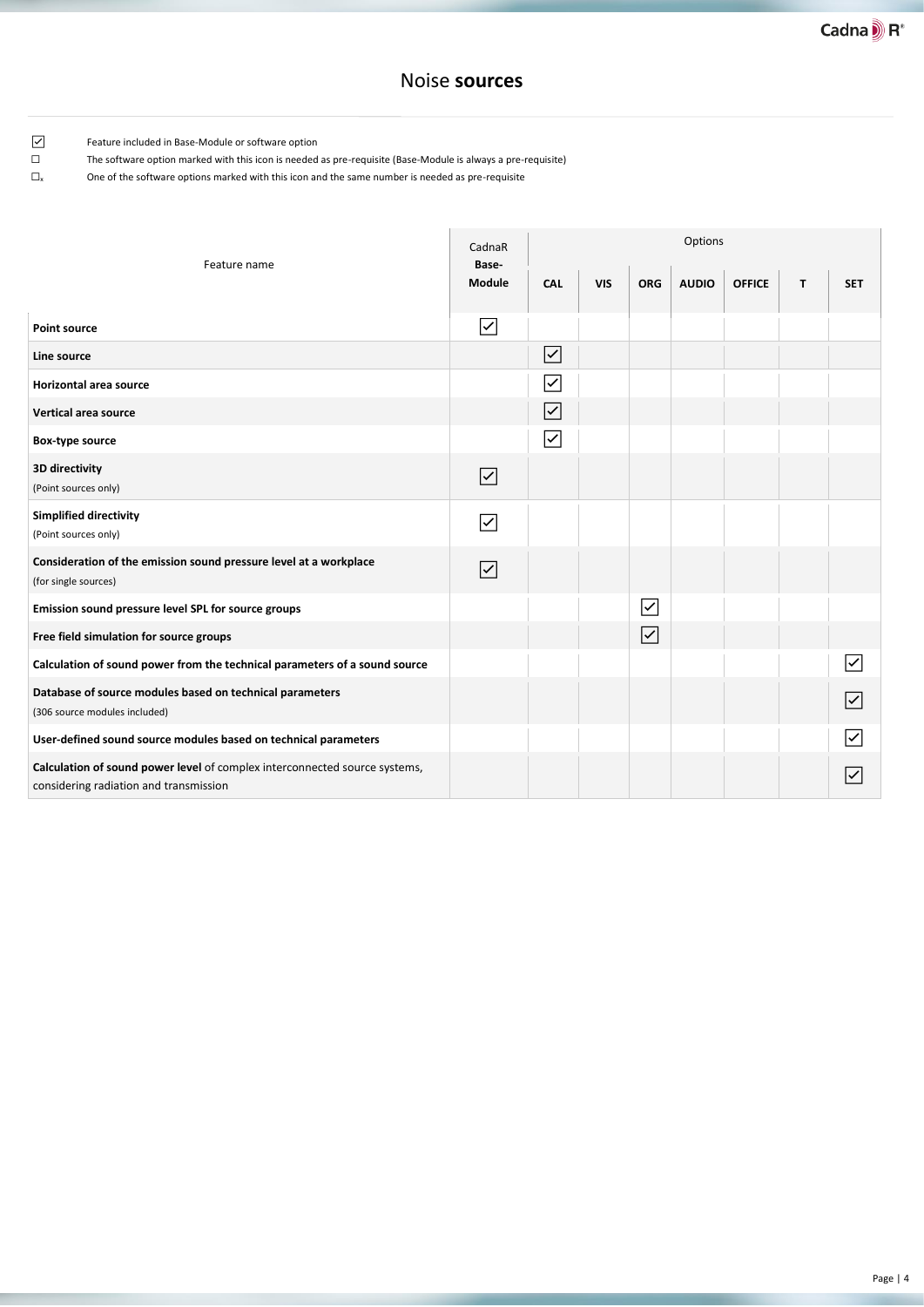### Noise **sources**

☑ Feature included in Base-Module or software option

☐ The software option marked with this icon is needed as pre-requisite (Base-Module is always a pre-requisite)

| Feature name                                                                                                         | CadnaR<br>Base-                 | Options                 |            |                         |              |               |    |                         |  |  |
|----------------------------------------------------------------------------------------------------------------------|---------------------------------|-------------------------|------------|-------------------------|--------------|---------------|----|-------------------------|--|--|
|                                                                                                                      | Module                          | CAL                     | <b>VIS</b> | <b>ORG</b>              | <b>AUDIO</b> | <b>OFFICE</b> | T. | <b>SET</b>              |  |  |
| <b>Point source</b>                                                                                                  | ⊽                               |                         |            |                         |              |               |    |                         |  |  |
| Line source                                                                                                          |                                 | $\overline{\checkmark}$ |            |                         |              |               |    |                         |  |  |
| Horizontal area source                                                                                               |                                 | $\overline{\checkmark}$ |            |                         |              |               |    |                         |  |  |
| <b>Vertical area source</b>                                                                                          |                                 | $\overline{\checkmark}$ |            |                         |              |               |    |                         |  |  |
| Box-type source                                                                                                      |                                 | $\overline{\checkmark}$ |            |                         |              |               |    |                         |  |  |
| 3D directivity<br>(Point sources only)                                                                               | $\overline{\smash{\checkmark}}$ |                         |            |                         |              |               |    |                         |  |  |
| <b>Simplified directivity</b><br>(Point sources only)                                                                | $\overline{\checkmark}$         |                         |            |                         |              |               |    |                         |  |  |
| Consideration of the emission sound pressure level at a workplace<br>(for single sources)                            | $\overline{\checkmark}$         |                         |            |                         |              |               |    |                         |  |  |
| Emission sound pressure level SPL for source groups                                                                  |                                 |                         |            | $\overline{\checkmark}$ |              |               |    |                         |  |  |
| Free field simulation for source groups                                                                              |                                 |                         |            | $\vert\checkmark\vert$  |              |               |    |                         |  |  |
| Calculation of sound power from the technical parameters of a sound source                                           |                                 |                         |            |                         |              |               |    | $\overline{\checkmark}$ |  |  |
| Database of source modules based on technical parameters<br>(306 source modules included)                            |                                 |                         |            |                         |              |               |    | $\overline{\checkmark}$ |  |  |
| User-defined sound source modules based on technical parameters                                                      |                                 |                         |            |                         |              |               |    | ✓                       |  |  |
| Calculation of sound power level of complex interconnected source systems,<br>considering radiation and transmission |                                 |                         |            |                         |              |               |    |                         |  |  |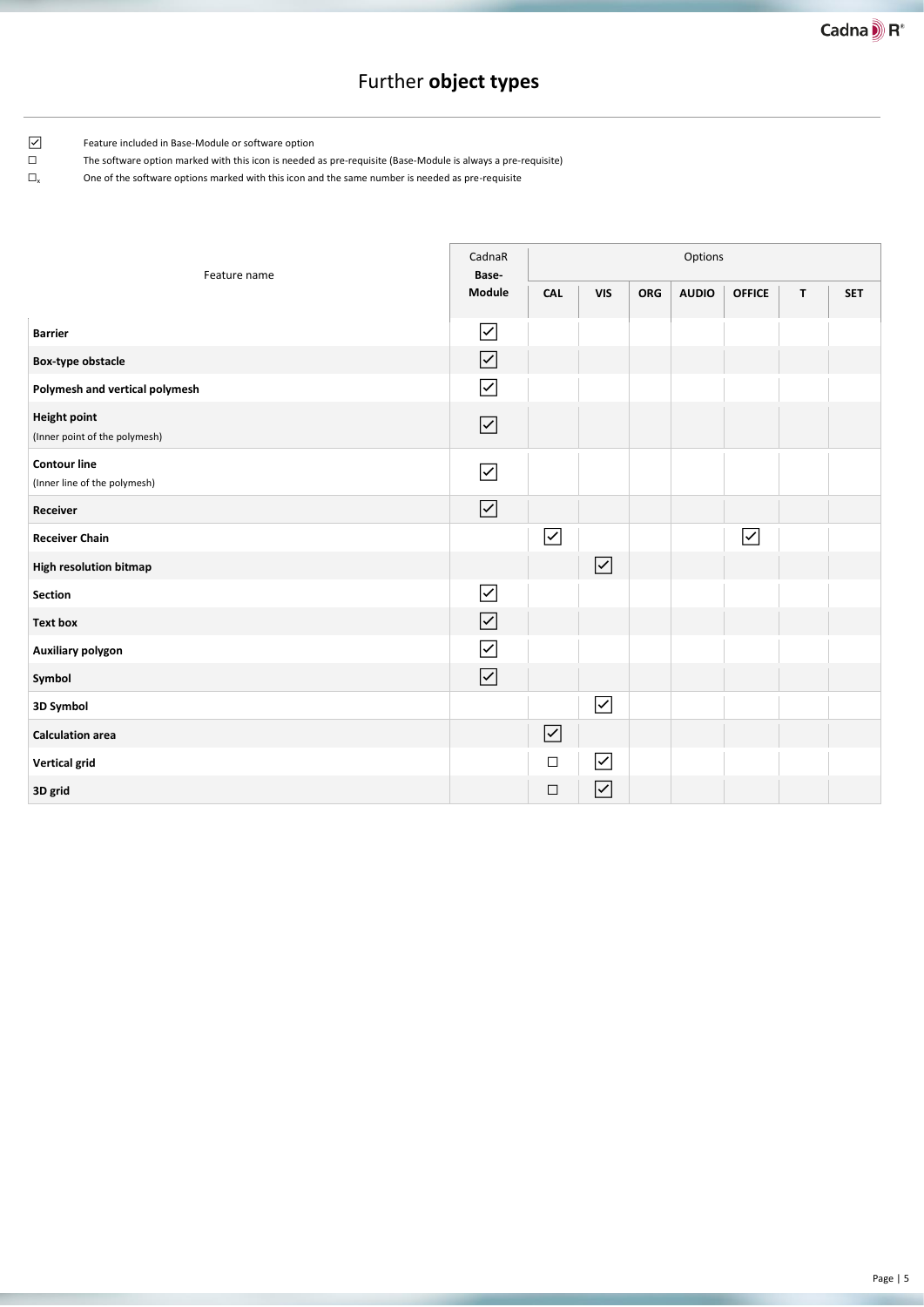# Further **object types**

☑ Feature included in Base-Module or software option

☐ The software option marked with this icon is needed as pre-requisite (Base-Module is always a pre-requisite)

| Feature name                                         |                                 | Options                 |                       |            |              |                     |   |            |
|------------------------------------------------------|---------------------------------|-------------------------|-----------------------|------------|--------------|---------------------|---|------------|
|                                                      | Module                          | <b>CAL</b>              | <b>VIS</b>            | <b>ORG</b> | <b>AUDIO</b> | <b>OFFICE</b>       | T | <b>SET</b> |
| <b>Barrier</b>                                       | $\overline{\smash{\checkmark}}$ |                         |                       |            |              |                     |   |            |
| Box-type obstacle                                    | $\overline{\smile}$             |                         |                       |            |              |                     |   |            |
| Polymesh and vertical polymesh                       | $\overline{\checkmark}$         |                         |                       |            |              |                     |   |            |
| <b>Height point</b><br>(Inner point of the polymesh) | $\boxed{\checkmark}$            |                         |                       |            |              |                     |   |            |
| <b>Contour line</b><br>(Inner line of the polymesh)  | $\overline{\smash{\checkmark}}$ |                         |                       |            |              |                     |   |            |
| Receiver                                             | $\boxed{\checkmark}$            |                         |                       |            |              |                     |   |            |
| <b>Receiver Chain</b>                                |                                 | $\overline{\checkmark}$ |                       |            |              | $\overline{\smile}$ |   |            |
| <b>High resolution bitmap</b>                        |                                 |                         | $\blacktriangledown$  |            |              |                     |   |            |
| <b>Section</b>                                       | $\overline{\checkmark}$         |                         |                       |            |              |                     |   |            |
| <b>Text box</b>                                      | $\boxed{\checkmark}$            |                         |                       |            |              |                     |   |            |
| Auxiliary polygon                                    | $\overline{\checkmark}$         |                         |                       |            |              |                     |   |            |
| Symbol                                               | $\boxed{\checkmark}$            |                         |                       |            |              |                     |   |            |
| 3D Symbol                                            |                                 |                         | $\boxed{\checkmark}$  |            |              |                     |   |            |
| <b>Calculation area</b>                              |                                 | $\boxed{\checkmark}$    |                       |            |              |                     |   |            |
| <b>Vertical grid</b>                                 |                                 | $\Box$                  | $\overline{\text{S}}$ |            |              |                     |   |            |
| 3D grid                                              |                                 | $\Box$                  | $\blacktriangledown$  |            |              |                     |   |            |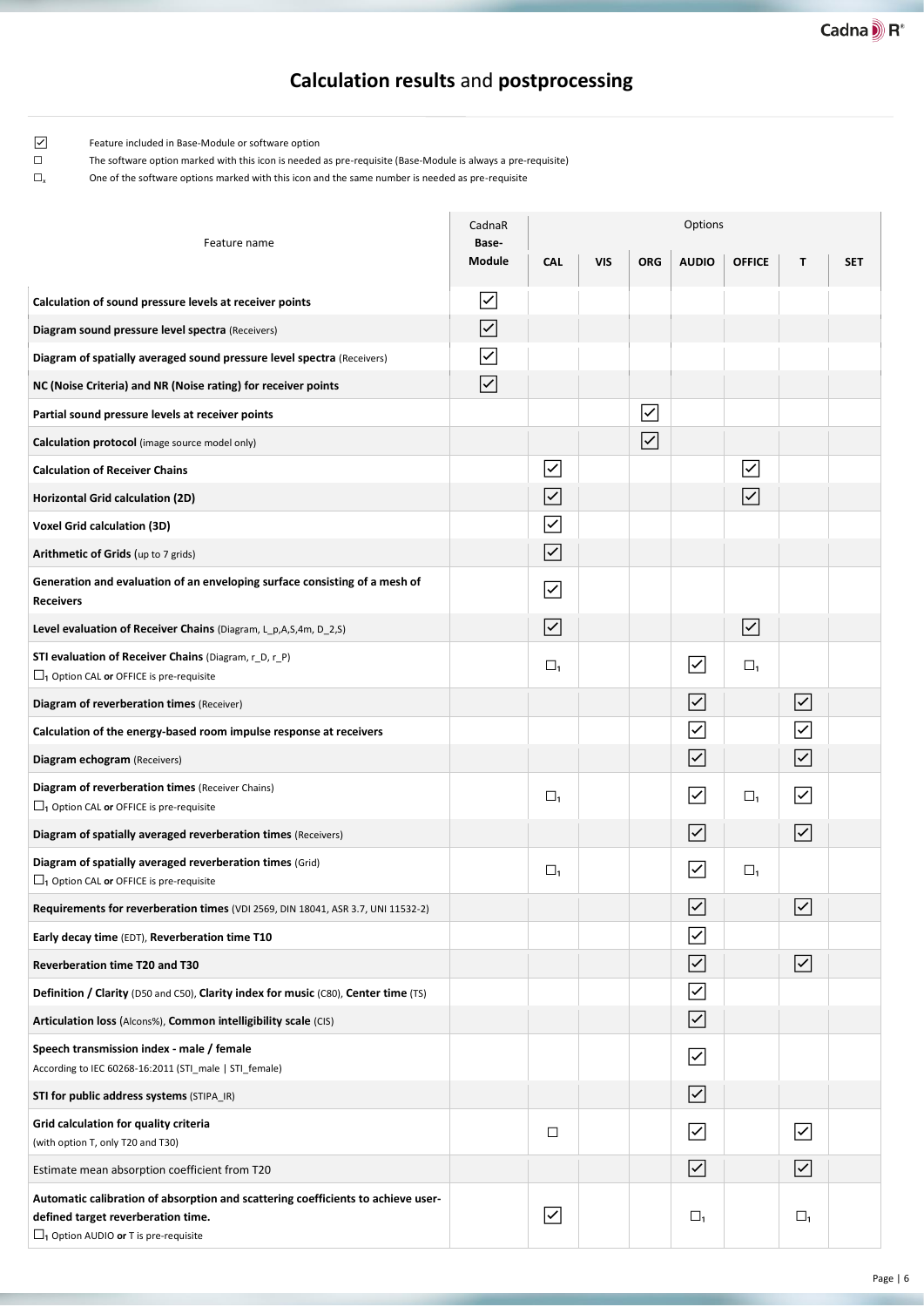# **Calculation results** and **postprocessing**

Ē

☑ Feature included in Base-Module or software option

☐ The software option marked with this icon is needed as pre-requisite (Base-Module is always a pre-requisite)

| Feature name                                                                                                                                                                     | CadnaR<br>Base-                 |                         |            |                         | Options                         |                                 |                                 |            |  |
|----------------------------------------------------------------------------------------------------------------------------------------------------------------------------------|---------------------------------|-------------------------|------------|-------------------------|---------------------------------|---------------------------------|---------------------------------|------------|--|
|                                                                                                                                                                                  | Module                          | <b>CAL</b>              | <b>VIS</b> | <b>ORG</b>              | <b>AUDIO</b>                    | <b>OFFICE</b>                   | T                               | <b>SET</b> |  |
| Calculation of sound pressure levels at receiver points                                                                                                                          | $\vert\checkmark\vert$          |                         |            |                         |                                 |                                 |                                 |            |  |
| Diagram sound pressure level spectra (Receivers)                                                                                                                                 | $\overline{\blacktriangledown}$ |                         |            |                         |                                 |                                 |                                 |            |  |
| Diagram of spatially averaged sound pressure level spectra (Receivers)                                                                                                           | $\overline{\checkmark}$         |                         |            |                         |                                 |                                 |                                 |            |  |
| NC (Noise Criteria) and NR (Noise rating) for receiver points                                                                                                                    | $\overline{\blacktriangledown}$ |                         |            |                         |                                 |                                 |                                 |            |  |
| Partial sound pressure levels at receiver points                                                                                                                                 |                                 |                         |            | $\overline{\checkmark}$ |                                 |                                 |                                 |            |  |
| Calculation protocol (image source model only)                                                                                                                                   |                                 |                         |            | $\overline{\checkmark}$ |                                 |                                 |                                 |            |  |
| <b>Calculation of Receiver Chains</b>                                                                                                                                            |                                 | ⊽                       |            |                         |                                 | $\overline{\checkmark}$         |                                 |            |  |
| <b>Horizontal Grid calculation (2D)</b>                                                                                                                                          |                                 | $\overline{\checkmark}$ |            |                         |                                 | $\overline{\blacktriangledown}$ |                                 |            |  |
| <b>Voxel Grid calculation (3D)</b>                                                                                                                                               |                                 | $\overline{\checkmark}$ |            |                         |                                 |                                 |                                 |            |  |
| Arithmetic of Grids (up to 7 grids)                                                                                                                                              |                                 | $\overline{\checkmark}$ |            |                         |                                 |                                 |                                 |            |  |
| Generation and evaluation of an enveloping surface consisting of a mesh of<br><b>Receivers</b>                                                                                   |                                 | ⊽                       |            |                         |                                 |                                 |                                 |            |  |
| Level evaluation of Receiver Chains (Diagram, L_p,A,S,4m, D_2,S)                                                                                                                 |                                 | $\overline{\checkmark}$ |            |                         |                                 | $\blacktriangledown$            |                                 |            |  |
| <b>STI evaluation of Receiver Chains</b> (Diagram, r_D, r_P)<br>$\Box$ <sub>1</sub> Option CAL or OFFICE is pre-requisite                                                        |                                 | $\Box_1$                |            |                         | $\overline{\blacktriangledown}$ | $\Box_1$                        |                                 |            |  |
| Diagram of reverberation times (Receiver)                                                                                                                                        |                                 |                         |            |                         | $\overline{\checkmark}$         |                                 | $\overline{\langle}$            |            |  |
| Calculation of the energy-based room impulse response at receivers                                                                                                               |                                 |                         |            |                         | $\overline{\checkmark}$         |                                 | $\overline{\checkmark}$         |            |  |
| Diagram echogram (Receivers)                                                                                                                                                     |                                 |                         |            |                         | $\overline{\checkmark}$         |                                 | $\overline{\leq}$               |            |  |
| Diagram of reverberation times (Receiver Chains)<br>$\Box$ <sub>1</sub> Option CAL or OFFICE is pre-requisite                                                                    |                                 | $\square_1$             |            |                         | $\overline{\checkmark}$         | $\Box$                          | $\overline{\blacktriangledown}$ |            |  |
| Diagram of spatially averaged reverberation times (Receivers)                                                                                                                    |                                 |                         |            |                         | $\overline{\blacktriangledown}$ |                                 | $\blacktriangledown$            |            |  |
| Diagram of spatially averaged reverberation times (Grid)<br>$\Box$ <sub>1</sub> Option CAL or OFFICE is pre-requisite                                                            |                                 | $\square_1$             |            |                         | $\blacktriangledown$            | $\Box_1$                        |                                 |            |  |
| Requirements for reverberation times (VDI 2569, DIN 18041, ASR 3.7, UNI 11532-2)                                                                                                 |                                 |                         |            |                         | $\overline{\checkmark}$         |                                 | ∣✓                              |            |  |
| Early decay time (EDT), Reverberation time T10                                                                                                                                   |                                 |                         |            |                         | $\overline{\checkmark}$         |                                 |                                 |            |  |
| Reverberation time T20 and T30                                                                                                                                                   |                                 |                         |            |                         | $\overline{\mathsf{S}}$         |                                 | $\boxed{\checkmark}$            |            |  |
| Definition / Clarity (D50 and C50), Clarity index for music (C80), Center time (TS)                                                                                              |                                 |                         |            |                         | $\overline{\checkmark}$         |                                 |                                 |            |  |
| Articulation loss (Alcons%), Common intelligibility scale (CIS)                                                                                                                  |                                 |                         |            |                         | $\vert\checkmark\vert$          |                                 |                                 |            |  |
| Speech transmission index - male / female<br>According to IEC 60268-16:2011 (STI male   STI female)                                                                              |                                 |                         |            |                         | $\overline{\mathsf{K}}$         |                                 |                                 |            |  |
| STI for public address systems (STIPA_IR)                                                                                                                                        |                                 |                         |            |                         | $\vert\checkmark\vert$          |                                 |                                 |            |  |
| Grid calculation for quality criteria<br>(with option T, only T20 and T30)                                                                                                       |                                 | $\Box$                  |            |                         | $\overline{\mathsf{K}}$         |                                 | ☑                               |            |  |
| Estimate mean absorption coefficient from T20                                                                                                                                    |                                 |                         |            |                         | $\vert\checkmark\vert$          |                                 | $\boxed{\checkmark}$            |            |  |
| Automatic calibration of absorption and scattering coefficients to achieve user-<br>defined target reverberation time.<br>$\Box$ <sub>1</sub> Option AUDIO or T is pre-requisite |                                 | $\boxed{\checkmark}$    |            |                         | $\Box_1$                        |                                 | $\Box_1$                        |            |  |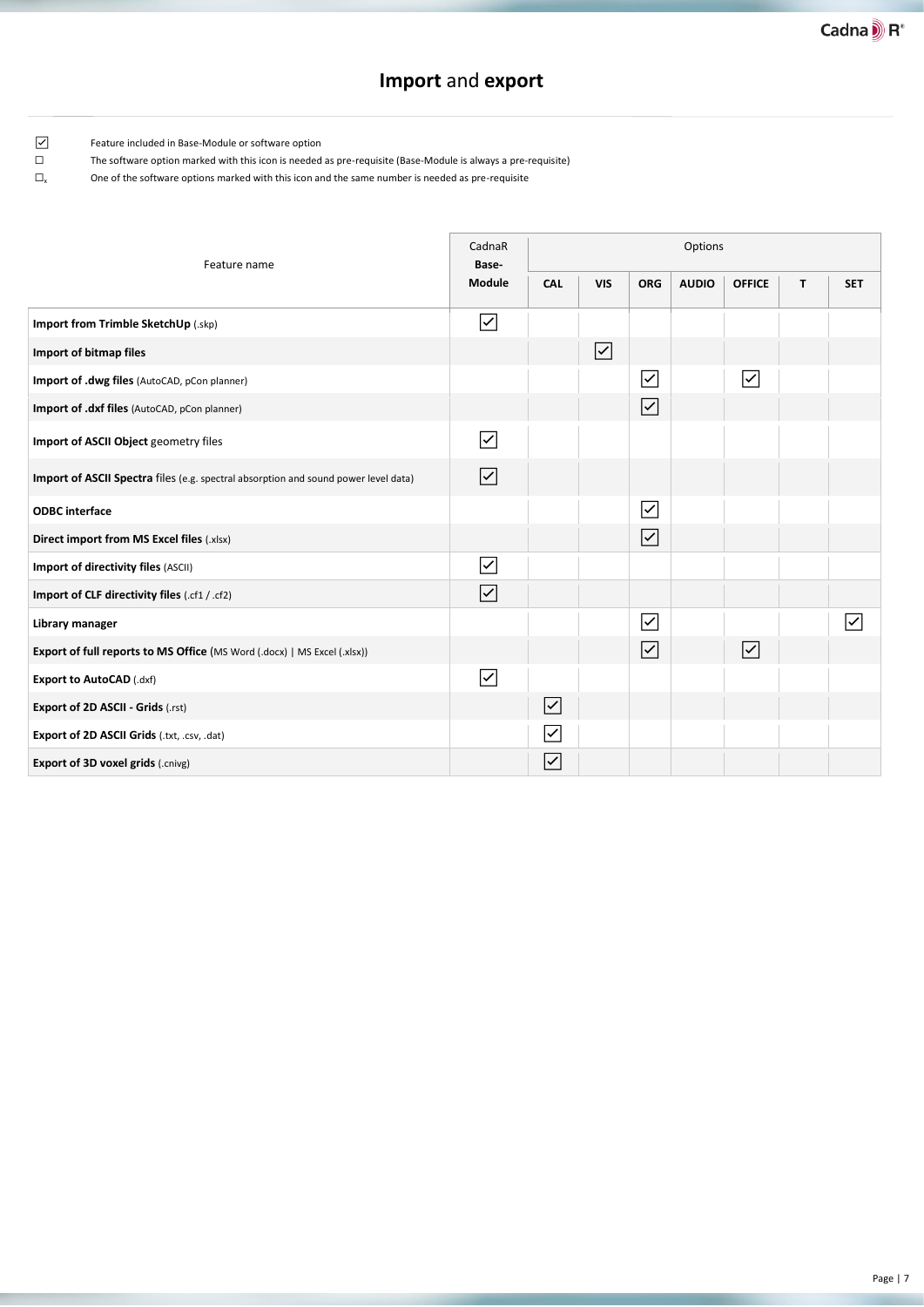### **Import** and **export**

 $\overline{a}$ 

i,

☑ Feature included in Base-Module or software option

☐ The software option marked with this icon is needed as pre-requisite (Base-Module is always a pre-requisite)

| Feature name                                                                        | CadnaR<br>Base-         | Options                 |                         |                         |              |                                |   |                         |
|-------------------------------------------------------------------------------------|-------------------------|-------------------------|-------------------------|-------------------------|--------------|--------------------------------|---|-------------------------|
|                                                                                     | Module                  | CAL                     | <b>VIS</b>              | <b>ORG</b>              | <b>AUDIO</b> | <b>OFFICE</b>                  | T | <b>SET</b>              |
| Import from Trimble SketchUp (.skp)                                                 | $\overline{\checkmark}$ |                         |                         |                         |              |                                |   |                         |
| Import of bitmap files                                                              |                         |                         | $\overline{\mathsf{S}}$ |                         |              |                                |   |                         |
| Import of .dwg files (AutoCAD, pCon planner)                                        |                         |                         |                         | $\overline{\checkmark}$ |              | $\overline{\checkmark}$        |   |                         |
| Import of .dxf files (AutoCAD, pCon planner)                                        |                         |                         |                         | $\overline{\checkmark}$ |              |                                |   |                         |
| Import of ASCII Object geometry files                                               | $\overline{\checkmark}$ |                         |                         |                         |              |                                |   |                         |
| Import of ASCII Spectra files (e.g. spectral absorption and sound power level data) | $\overline{\mathsf{S}}$ |                         |                         |                         |              |                                |   |                         |
| <b>ODBC</b> interface                                                               |                         |                         |                         | $\sqrt{}$               |              |                                |   |                         |
| <b>Direct import from MS Excel files (.xlsx)</b>                                    |                         |                         |                         | $\overline{\checkmark}$ |              |                                |   |                         |
| Import of directivity files (ASCII)                                                 | $\overline{\checkmark}$ |                         |                         |                         |              |                                |   |                         |
| Import of CLF directivity files (.cf1 / .cf2)                                       | $\overline{\mathsf{S}}$ |                         |                         |                         |              |                                |   |                         |
| Library manager                                                                     |                         |                         |                         | $\overline{\checkmark}$ |              |                                |   | $\overline{\checkmark}$ |
| <b>Export of full reports to MS Office (MS Word (.docx)   MS Excel (.xlsx))</b>     |                         |                         |                         | $\overline{\checkmark}$ |              | $\vert\!\!\!\!\backsim\rangle$ |   |                         |
| Export to AutoCAD (.dxf)                                                            | $\overline{\checkmark}$ |                         |                         |                         |              |                                |   |                         |
| <b>Export of 2D ASCII - Grids (.rst)</b>                                            |                         | $\boxed{\checkmark}$    |                         |                         |              |                                |   |                         |
| Export of 2D ASCII Grids (.txt, .csv, .dat)                                         |                         | ⊽                       |                         |                         |              |                                |   |                         |
| <b>Export of 3D voxel grids (.cnivg)</b>                                            |                         | $\overline{\checkmark}$ |                         |                         |              |                                |   |                         |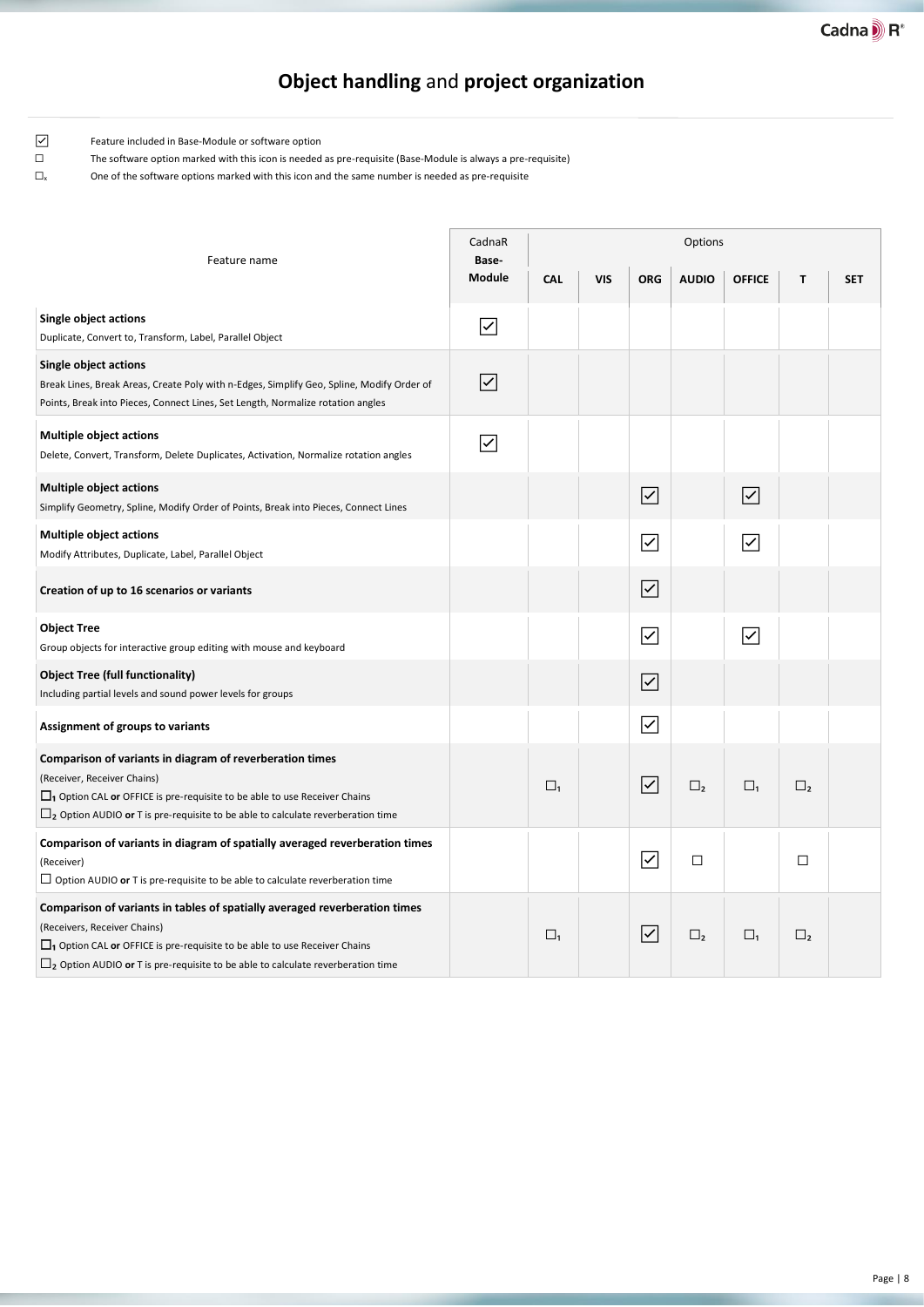# **Object handling** and **project organization**

☑ Feature included in Base-Module or software option

☐ The software option marked with this icon is needed as pre-requisite (Base-Module is always a pre-requisite)

| Feature name                                                                                                                                                                                                                                                                                                   | CadnaR<br>Base-                 | Options    |            |                         |              |                                      |               |            |  |  |
|----------------------------------------------------------------------------------------------------------------------------------------------------------------------------------------------------------------------------------------------------------------------------------------------------------------|---------------------------------|------------|------------|-------------------------|--------------|--------------------------------------|---------------|------------|--|--|
|                                                                                                                                                                                                                                                                                                                | Module                          | <b>CAL</b> | <b>VIS</b> | <b>ORG</b>              | <b>AUDIO</b> | <b>OFFICE</b>                        | T             | <b>SET</b> |  |  |
| <b>Single object actions</b><br>Duplicate, Convert to, Transform, Label, Parallel Object                                                                                                                                                                                                                       | $\overline{\checkmark}$         |            |            |                         |              |                                      |               |            |  |  |
| <b>Single object actions</b><br>Break Lines, Break Areas, Create Poly with n-Edges, Simplify Geo, Spline, Modify Order of<br>Points, Break into Pieces, Connect Lines, Set Length, Normalize rotation angles                                                                                                   | $\overline{\blacktriangledown}$ |            |            |                         |              |                                      |               |            |  |  |
| <b>Multiple object actions</b><br>Delete, Convert, Transform, Delete Duplicates, Activation, Normalize rotation angles                                                                                                                                                                                         | ∣✓                              |            |            |                         |              |                                      |               |            |  |  |
| <b>Multiple object actions</b><br>Simplify Geometry, Spline, Modify Order of Points, Break into Pieces, Connect Lines                                                                                                                                                                                          |                                 |            |            | $\overline{\checkmark}$ |              | $\overline{\left. \right. \right. }$ |               |            |  |  |
| <b>Multiple object actions</b><br>Modify Attributes, Duplicate, Label, Parallel Object                                                                                                                                                                                                                         |                                 |            |            | $\overline{\checkmark}$ |              | $\overline{\blacktriangledown}$      |               |            |  |  |
| Creation of up to 16 scenarios or variants                                                                                                                                                                                                                                                                     |                                 |            |            | $\overline{\checkmark}$ |              |                                      |               |            |  |  |
| <b>Object Tree</b><br>Group objects for interactive group editing with mouse and keyboard                                                                                                                                                                                                                      |                                 |            |            | $\overline{\checkmark}$ |              | $\overline{\smash{\triangleright}}$  |               |            |  |  |
| <b>Object Tree (full functionality)</b><br>Including partial levels and sound power levels for groups                                                                                                                                                                                                          |                                 |            |            | $\overline{\checkmark}$ |              |                                      |               |            |  |  |
| Assignment of groups to variants                                                                                                                                                                                                                                                                               |                                 |            |            | $\overline{\checkmark}$ |              |                                      |               |            |  |  |
| Comparison of variants in diagram of reverberation times<br>(Receiver, Receiver Chains)<br>$\Box$ <sub>1</sub> Option CAL or OFFICE is pre-requisite to be able to use Receiver Chains<br>$\Box_2$ Option AUDIO or T is pre-requisite to be able to calculate reverberation time                               |                                 | $\Box_1$   |            | $\overline{\checkmark}$ | $\square$ ,  | $\square_1$                          | $\square$     |            |  |  |
| Comparison of variants in diagram of spatially averaged reverberation times<br>(Receiver)<br>$\Box$ Option AUDIO or T is pre-requisite to be able to calculate reverberation time                                                                                                                              |                                 |            |            | $\overline{\checkmark}$ | $\Box$       |                                      | □             |            |  |  |
| Comparison of variants in tables of spatially averaged reverberation times<br>(Receivers, Receiver Chains)<br>$\Box$ <sub>1</sub> Option CAL or OFFICE is pre-requisite to be able to use Receiver Chains<br>$\Box$ <sub>2</sub> Option AUDIO or T is pre-requisite to be able to calculate reverberation time |                                 | $\Box_1$   |            | $\overline{\checkmark}$ | $\square$ ,  | $\square_1$                          | $\square_{2}$ |            |  |  |